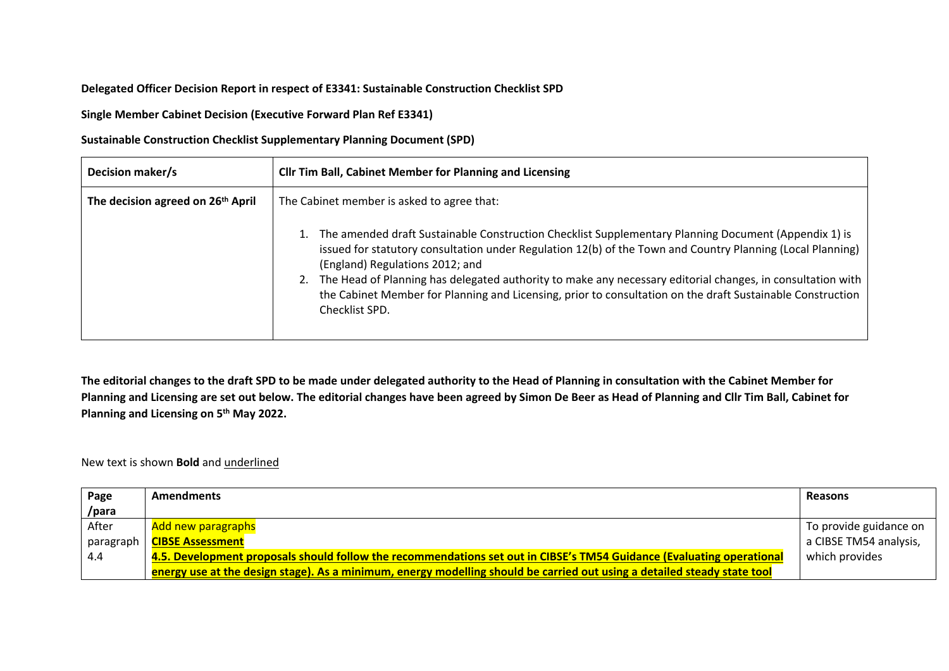## **Delegated Officer Decision Report in respect of E3341: Sustainable Construction Checklist SPD**

**Single Member Cabinet Decision (Executive Forward Plan Ref E3341)**

**Sustainable Construction Checklist Supplementary Planning Document (SPD)**

| Decision maker/s                              | <b>Cllr Tim Ball, Cabinet Member for Planning and Licensing</b>                                                                                                                                                                                                                                                                                                                                                                                                                                     |
|-----------------------------------------------|-----------------------------------------------------------------------------------------------------------------------------------------------------------------------------------------------------------------------------------------------------------------------------------------------------------------------------------------------------------------------------------------------------------------------------------------------------------------------------------------------------|
| The decision agreed on 26 <sup>th</sup> April | The Cabinet member is asked to agree that:                                                                                                                                                                                                                                                                                                                                                                                                                                                          |
|                                               | The amended draft Sustainable Construction Checklist Supplementary Planning Document (Appendix 1) is<br>issued for statutory consultation under Regulation 12(b) of the Town and Country Planning (Local Planning)<br>(England) Regulations 2012; and<br>The Head of Planning has delegated authority to make any necessary editorial changes, in consultation with<br>the Cabinet Member for Planning and Licensing, prior to consultation on the draft Sustainable Construction<br>Checklist SPD. |

The editorial changes to the draft SPD to be made under delegated authority to the Head of Planning in consultation with the Cabinet Member for Planning and Licensing are set out below. The editorial changes have been agreed by Simon De Beer as Head of Planning and Cllr Tim Ball, Cabinet for **Planning and Licensing on 5 th May 2022.**

New text is shown **Bold** and underlined

| Page      | <b>Amendments</b>                                                                                                        | <b>Reasons</b>         |
|-----------|--------------------------------------------------------------------------------------------------------------------------|------------------------|
| /para     |                                                                                                                          |                        |
| After     | Add new paragraphs                                                                                                       | To provide guidance on |
| paragraph | <b>CIBSE Assessment</b>                                                                                                  | a CIBSE TM54 analysis, |
| 4.4       | 4.5. Development proposals should follow the recommendations set out in CIBSE's TM54 Guidance (Evaluating operational    | which provides         |
|           | energy use at the design stage). As a minimum, energy modelling should be carried out using a detailed steady state tool |                        |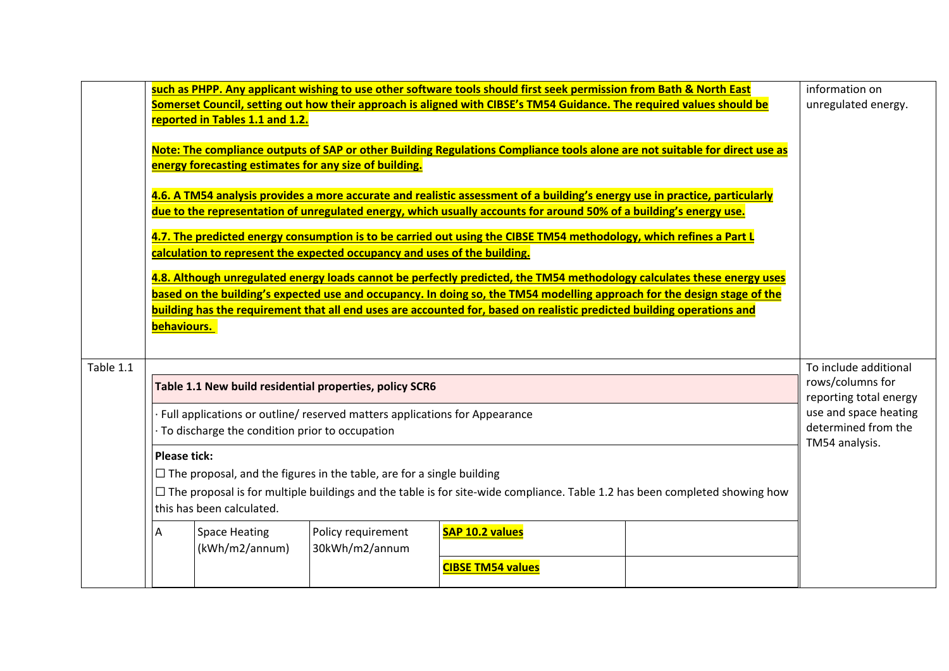|           | behaviours.         | reported in Tables 1.1 and 1.2.<br>energy forecasting estimates for any size of building. | calculation to represent the expected occupancy and uses of the building.                                                                                                                                             | such as PHPP. Any applicant wishing to use other software tools should first seek permission from Bath & North East<br>Somerset Council, setting out how their approach is aligned with CIBSE's TM54 Guidance. The required values should be<br>Note: The compliance outputs of SAP or other Building Regulations Compliance tools alone are not suitable for direct use as<br>4.6. A TM54 analysis provides a more accurate and realistic assessment of a building's energy use in practice, particularly<br>due to the representation of unregulated energy, which usually accounts for around 50% of a building's energy use.<br>4.7. The predicted energy consumption is to be carried out using the CIBSE TM54 methodology, which refines a Part L<br>4.8. Although unregulated energy loads cannot be perfectly predicted, the TM54 methodology calculates these energy uses<br>based on the building's expected use and occupancy. In doing so, the TM54 modelling approach for the design stage of the<br>building has the requirement that all end uses are accounted for, based on realistic predicted building operations and | information on<br>unregulated energy.                                                                                                 |
|-----------|---------------------|-------------------------------------------------------------------------------------------|-----------------------------------------------------------------------------------------------------------------------------------------------------------------------------------------------------------------------|------------------------------------------------------------------------------------------------------------------------------------------------------------------------------------------------------------------------------------------------------------------------------------------------------------------------------------------------------------------------------------------------------------------------------------------------------------------------------------------------------------------------------------------------------------------------------------------------------------------------------------------------------------------------------------------------------------------------------------------------------------------------------------------------------------------------------------------------------------------------------------------------------------------------------------------------------------------------------------------------------------------------------------------------------------------------------------------------------------------------------------------|---------------------------------------------------------------------------------------------------------------------------------------|
| Table 1.1 | <b>Please tick:</b> | To discharge the condition prior to occupation<br>this has been calculated.               | Table 1.1 New build residential properties, policy SCR6<br>Full applications or outline/ reserved matters applications for Appearance<br>$\Box$ The proposal, and the figures in the table, are for a single building | $\Box$ The proposal is for multiple buildings and the table is for site-wide compliance. Table 1.2 has been completed showing how                                                                                                                                                                                                                                                                                                                                                                                                                                                                                                                                                                                                                                                                                                                                                                                                                                                                                                                                                                                                        | To include additional<br>rows/columns for<br>reporting total energy<br>use and space heating<br>determined from the<br>TM54 analysis. |
|           | A                   | <b>Space Heating</b><br>(kWh/m2/annum)                                                    | Policy requirement<br>30kWh/m2/annum                                                                                                                                                                                  | <b>SAP 10.2 values</b><br><b>CIBSE TM54 values</b>                                                                                                                                                                                                                                                                                                                                                                                                                                                                                                                                                                                                                                                                                                                                                                                                                                                                                                                                                                                                                                                                                       |                                                                                                                                       |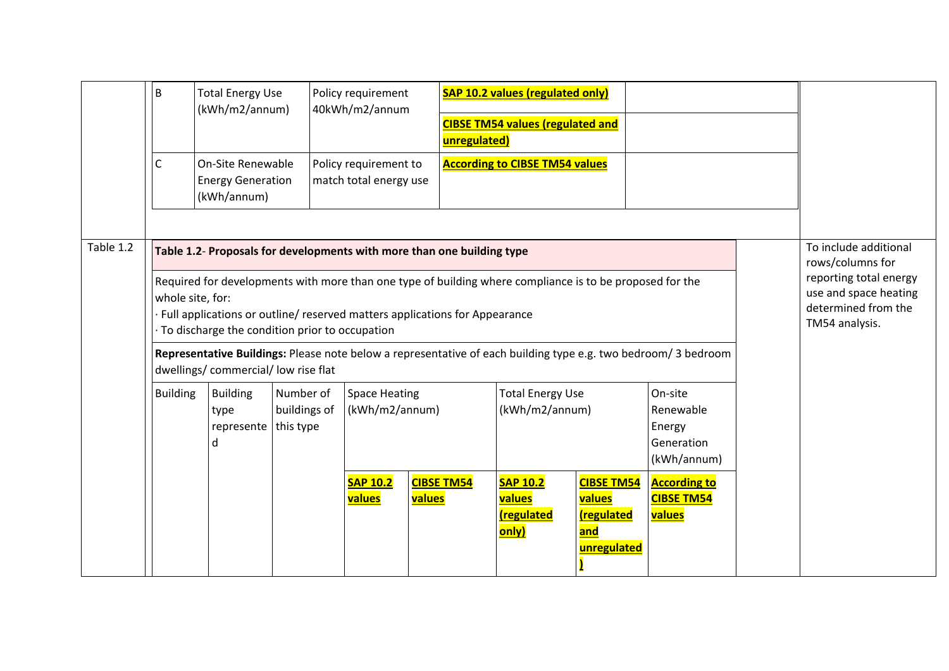|           | B                | <b>Total Energy Use</b><br>(kWh/m2/annum)                                              |                                        | Policy requirement<br>40kWh/m2/annum                                       | unregulated)                                                                                                                                                                                                                                                     | <b>SAP 10.2 values (regulated only)</b><br><b>CIBSE TM54 values (regulated and</b>  |                                          |                                                                                                                   |                |                                                                                                                     |
|-----------|------------------|----------------------------------------------------------------------------------------|----------------------------------------|----------------------------------------------------------------------------|------------------------------------------------------------------------------------------------------------------------------------------------------------------------------------------------------------------------------------------------------------------|-------------------------------------------------------------------------------------|------------------------------------------|-------------------------------------------------------------------------------------------------------------------|----------------|---------------------------------------------------------------------------------------------------------------------|
|           | С                | On-Site Renewable<br><b>Energy Generation</b><br>(kWh/annum)                           |                                        | Policy requirement to<br>match total energy use                            |                                                                                                                                                                                                                                                                  | <b>According to CIBSE TM54 values</b>                                               |                                          |                                                                                                                   |                |                                                                                                                     |
| Table 1.2 | whole site, for: | To discharge the condition prior to occupation<br>dwellings/ commercial/ low rise flat |                                        |                                                                            | Table 1.2- Proposals for developments with more than one building type<br>Required for developments with more than one type of building where compliance is to be proposed for the<br>Full applications or outline/ reserved matters applications for Appearance |                                                                                     |                                          | Representative Buildings: Please note below a representative of each building type e.g. two bedroom/3 bedroom     | TM54 analysis. | To include additional<br>rows/columns for<br>reporting total energy<br>use and space heating<br>determined from the |
|           | <b>Building</b>  | <b>Building</b><br>type<br>represente<br>d                                             | Number of<br>buildings of<br>this type | <b>Space Heating</b><br>(kWh/m2/annum)<br><b>SAP 10.2</b><br><b>values</b> | <b>CIBSE TM54</b><br>values                                                                                                                                                                                                                                      | <b>Total Energy Use</b><br>(kWh/m2/annum)<br><b>SAP 10.2</b><br>values<br>regulated | <b>CIBSE TM54</b><br>values<br>regulated | On-site<br>Renewable<br>Energy<br>Generation<br>(kWh/annum)<br><b>According to</b><br><b>CIBSE TM54</b><br>values |                |                                                                                                                     |
|           |                  |                                                                                        |                                        |                                                                            |                                                                                                                                                                                                                                                                  | only)                                                                               | and<br>unregulated                       |                                                                                                                   |                |                                                                                                                     |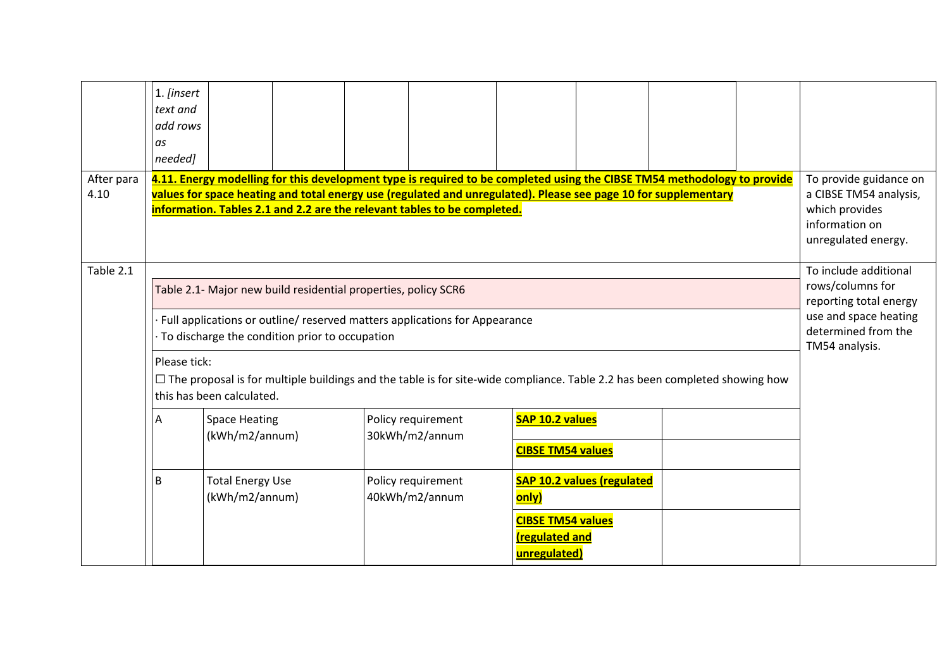|                    | 1. <i>[insert</i><br>text and<br>add rows<br>as<br>needed] |                                           |                                                                                                                  |                                                                                                                                                                                                                                                                                                                         |                                                                            |                                   |  |                                                                                                                                       |
|--------------------|------------------------------------------------------------|-------------------------------------------|------------------------------------------------------------------------------------------------------------------|-------------------------------------------------------------------------------------------------------------------------------------------------------------------------------------------------------------------------------------------------------------------------------------------------------------------------|----------------------------------------------------------------------------|-----------------------------------|--|---------------------------------------------------------------------------------------------------------------------------------------|
| After para<br>4.10 |                                                            |                                           |                                                                                                                  | 4.11. Energy modelling for this development type is required to be completed using the CIBSE TM54 methodology to provide<br>values for space heating and total energy use (regulated and unregulated). Please see page 10 for supplementary<br>information. Tables 2.1 and 2.2 are the relevant tables to be completed. |                                                                            |                                   |  | To provide guidance on<br>a CIBSE TM54 analysis,<br>which provides<br>information on<br>unregulated energy.                           |
| Table 2.1          |                                                            |                                           | Table 2.1- Major new build residential properties, policy SCR6<br>To discharge the condition prior to occupation | · Full applications or outline/ reserved matters applications for Appearance                                                                                                                                                                                                                                            |                                                                            |                                   |  | To include additional<br>rows/columns for<br>reporting total energy<br>use and space heating<br>determined from the<br>TM54 analysis. |
|                    | Please tick:                                               | this has been calculated.                 |                                                                                                                  | $\Box$ The proposal is for multiple buildings and the table is for site-wide compliance. Table 2.2 has been completed showing how                                                                                                                                                                                       |                                                                            |                                   |  |                                                                                                                                       |
|                    | Α                                                          | <b>Space Heating</b><br>(kWh/m2/annum)    |                                                                                                                  | Policy requirement<br>30kWh/m2/annum                                                                                                                                                                                                                                                                                    | SAP 10.2 values<br><b>CIBSE TM54 values</b>                                |                                   |  |                                                                                                                                       |
|                    | B                                                          | <b>Total Energy Use</b><br>(kWh/m2/annum) |                                                                                                                  | Policy requirement<br>40kWh/m2/annum                                                                                                                                                                                                                                                                                    | only)<br><b>CIBSE TM54 values</b><br><b>(regulated and</b><br>unregulated) | <b>SAP 10.2 values (regulated</b> |  |                                                                                                                                       |